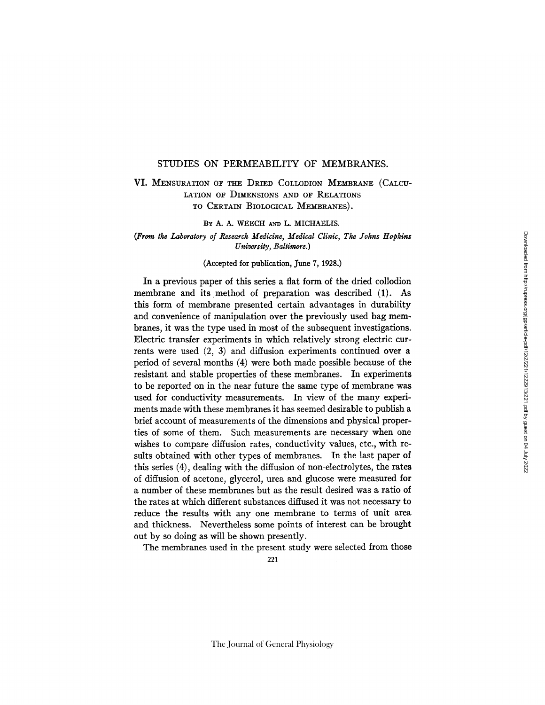## STUDIES ON PERMEABILITY OF MEMBRANES.

VI. MENSURATION OF THE DRIED COLLODION MEMBRANE (CALCU-LATION OF DIMENSIONS AND OF RELATIONS TO CERTAIN BIOLOGICAL MEMBRANES).

BY A. A. WEECH AND L. MICHAELIS.

*(From the Laboratory of Research Medicine, Medical Clinic, The Johns Hopkins University, Baltimore.)* 

### (Accepted for publication, June 7, 1928.)

In a previous paper of this series a flat form of the dried collodion membrane and its method of preparation was described (1). As this form of membrane presented certain advantages in durability and convenience of manipulation over the previously used bag membranes, it was the type used in most of the subsequent investigations. Electric transfer experiments in which relatively strong electric currents were used (2, 3) and diffusion experiments continued over a period of several months (4) were both made possible because of the resistant and stable properties of these membranes. In experiments to be reported on in the near future the same type of membrane was used for conductivity measurements. In view of the many experiments made with these membranes it has seemed desirable to publish a brief account of measurements of the dimensions and physical properties of some of them. Such measurements are necessary when one wishes to compare diffusion rates, conductivity values, etc., with results obtained with other types of membranes. In the last paper of this series (4), dealing with the diffusion of non-electrolytes, the rates of diffusion of acetone, glycerol, urea and glucose were measured for a number of these membranes but as the result desired was a ratio of the rates at which different substances diffused it was not necessary to reduce the results with any one membrane to terms of unit area and thickness. Nevertheless some points of interest can be brought out by so doing as will be shown presently.

The membranes used in the present study were selected from those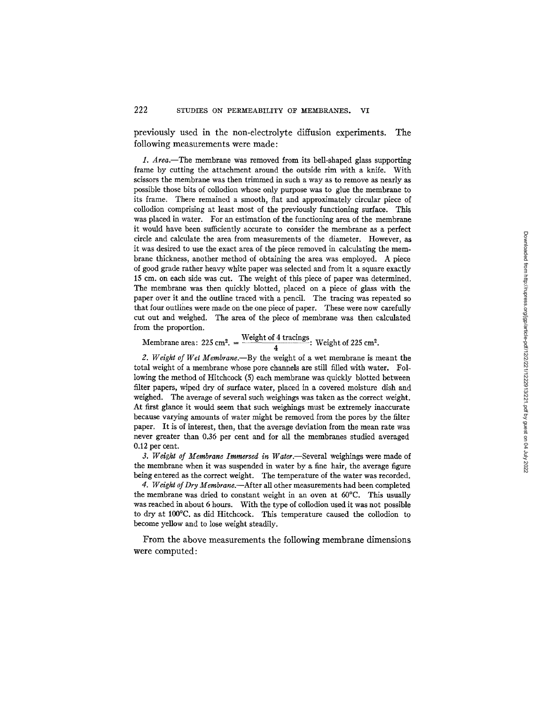previously used in the non-electrolyte diffusion experiments. The following measurements were made:

*1. Area.--The* membrane Was removed from its bell-shaped glass supporting frame by cutting the attachment around the outside rim with a knife. With scissors the membrane was then trimmed in such a way as to remove as nearly as possible those bits of collodion whose only purpose was to glue the membrane to its frame. There remained a smooth, flat and approximately circular piece of collodion comprising at least most of the previously functioning surface. This was placed in water. For an estimation of the functioning area of the membrane it would have been sufficiently accurate to consider the membrane as a perfect circle and calculate the area from measurements of the diameter. However, as it was desired to use the exact area of the piece removed in calculating the membrane thickness, another method of obtaining the area was employed. A piece of good grade rather heavy white paper was selected and from it a square exactly 15 cm. on each side was cut. The weight of this piece of paper was determined. The membrane was then quickly blotted, placed on a piece of glass with the paper over it and the outline traced with a pencil. The tracing was repeated so that four outlines were made on the one piece of paper. These were now carefully cut out and weighed. The area of the piece of membrane was then calculated from the proportion.

Membrane area:  $225 \text{ cm}^2$ . =  $\frac{\text{weight of 4 tracings}}{\text{weight of 225 cm}^2}$ . 4

*2. Weight of Wet Membrane.--By* the weight of a wet membrane is meant the total weight of a membrane whose pore channels are still filled with water. Following the method of Hitchcock (5) each membrane was quickly blotted between filter papers, wiped dry of surface water, placed in a covered moisture dish and weighed. The average of several such weighings was taken as the correct weight. At first glance it would seem that such weighings must be extremely inaccurate because varying mounts of water might be removed from the pores by the filter paper. It is of interest, then, that the average deviation from the mean rate was never greater than 0.36 per cent and for all the membranes studied averaged 0.12 per cent.

3. Weight of Membrane Immersed in Water.—Several weighings were made of the membrane when it was suspended in water by a fine hair, the average figure being entered as the correct weight. The temperature of the water was recorded.

*4. Weight of Dry Membrane.--After* all other measurements had been completed the membrane was dried to constant weight in an oven at 60°C. This usually was reached in about 6 hours. With the type of collodion used it was not possible to dry at 100°C. as did Hitchcock. This temperature caused the collodion to become yellow and to lose weight steadily.

From the above measurements the following membrane dimensions were computed: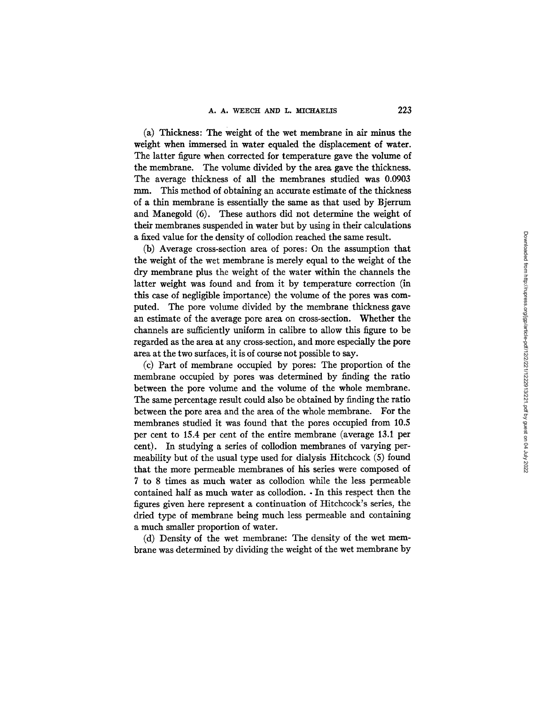(a) Thickness: The weight of the wet membrane in air minus the weight when immersed in water equaled the displacement of water. The latter figure when corrected for temperature gave the volume of the membrane. The volume divided by the area gave the thickness. The average thickness of all the membranes studied was 0.0903 mm. This method of obtaining an accurate estimate of the thickness of a thin membrane is essentially the same as that used by Bjerrum and Manegold (6). These authors did not determine the weight of their membranes suspended in water but by using in their calculations a fixed value for the density of collodion reached the same result.

(b) Average cross-section area of pores: On the assumption that the weight of the wet membrane is merely equal to the weight of the dry membrane plus the weight of the water within the channels the latter weight was found and from it by temperature correction (in this case of negligible importance) the volume of the pores was computed. The pore volume divided by the membrane thickness gave an estimate of the average pore area on cross-section. Whether the channels are sufficiently uniform in calibre to allow this figure to be regarded as the area at any cross-section, and more especially the pore area at the two surfaces, it is of course not possible to say.

(c) Part of membrane occupied by pores: The proportion of the membrane occupied by pores was determined by finding the ratio between the pore volume and the volume of the whole membrane. The same percentage result could also be obtained by finding the ratio between the pore area and the area of the whole membrane. For the membranes studied it was found that the pores occupied from 10.5 per cent to 15.4 per cent of the entire membrane (average 13.1 per cent). In studying a series of collodion membranes of varying permeability but of the usual type used for dialysis Hitchcock (5) found that the more permeable membranes of his series were composed of 7 to 8 times as much water as collodion while the less permeable contained half as much water as collodion. - In this respect then the figures given here represent a continuation of Hitchcock's series, the dried type of membrane being much less permeable and containing a much smaller proportion of water.

(d) Density of the wet membrane: The density of the wet membrane was determined by dividing the weight of the wet membrane by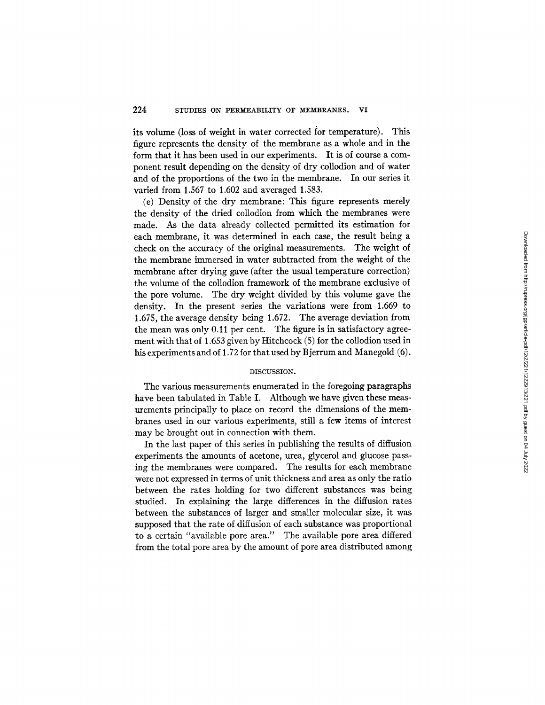its volume (loss of weight in water corrected for temperature). This figure represents the density of the membrane as a whole and in the form that it has been used in our experiments. It is of course a component result depending on the density of dry collodion and of water and of the proportions of the two in the membrane. In our series it varied from 1.567 to 1.602 and averaged 1.583.

(e) Density of the dry membrane: This figure represents merely the density of the dried collodion from which the membranes were made. As the data already collected permitted its estimation for each membrane, it was determined in each case, the result being a check on the accuracy of the original measurements. The weight of the membrane immersed in water subtracted from the weight of the membrane after drying gave (after the usual temperature correction) the volume of the collodion framework of the membrane exclusive of the pore volume. The dry weight divided by this volume gave the density. In the present series the variations were from 1.669 to 1.675, the average density being 1.672. The average deviation from the mean was only 0.11 per cent. The figure is in satisfactory agreement with that of 1.653 given by Hitchcock (5) for the collodion used in his experiments and of 1.72 for that used by Bjerrum and Manegold (6).

### DISCUSSION.

The various measurements enumerated in the foregoing paragraphs have been tabulated in Table I. Although we have given these measurements principally to place on record the dimensions of the membranes used in our various experiments, still a few items of interest may be brought out in connection with them.

In the last paper of this series in publishing the results of diffusion experiments the amounts of acetone, urea, glycerol and glucose passing the membranes were compared. The results for each membrane were not expressed in terms of unit thickness and area as only the ratio between the rates holding for two different substances was being studied. In explaining the large differences in the diffusion rates between the substances of larger and smaller molecular size, it was supposed that the rate of diffusion of each substance was proportional to a certain "available pore area." The available pore area differed from the total pore area by the amount of pore area distributed among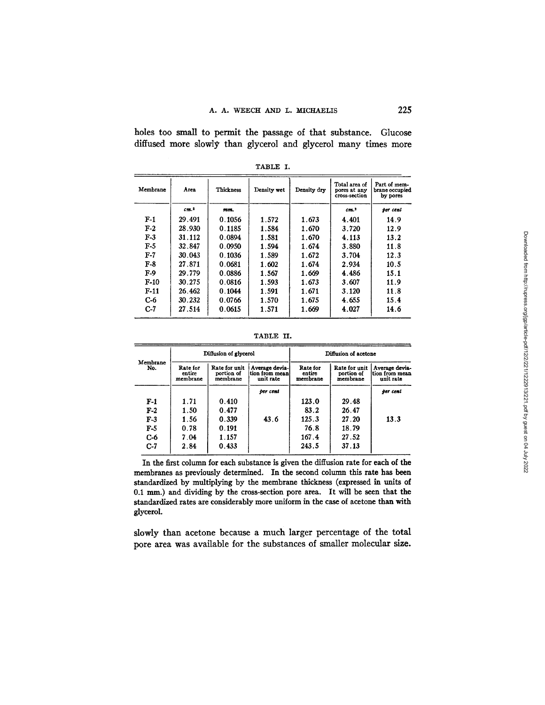holes too small to permit the passage of that substance. Glucose diffused more slowly than glycerol and glycerol many times more

| Membrane | Area            | Thickness | Density wet | Density dry | Total area of<br>pores at any<br>cross-section | Part of mem-<br>brane occupied<br>by pores |
|----------|-----------------|-----------|-------------|-------------|------------------------------------------------|--------------------------------------------|
|          | cm <sup>2</sup> | mm.       |             |             | cm <sup>2</sup>                                | per cent                                   |
| $F-1$    | 29.491          | 0.1056    | 1.572       | 1.673       | 4.401                                          | 14.9                                       |
| $F-2$    | 28.930          | 0.1185    | 1.584       | 1.670       | 3.720                                          | 12.9                                       |
| $F-3$    | 31.112          | 0.0894    | 1.581       | 1.670       | 4.113                                          | 13.2                                       |
| $F-5$    | 32.847          | 0.0950    | 1.594       | 1.674       | 3.880                                          | 11.8                                       |
| $F-7$    | 30.043          | 0.1036    | 1.589       | 1.672       | 3.704                                          | 12.3                                       |
| $F-8$    | 27.871          | 0.0681    | 1.602       | 1.674       | 2.934                                          | 10.5                                       |
| $F-9$    | 29.779          | 0.0886    | 1.567       | 1.669       | 4.486                                          | 15.1                                       |
| $F-10$   | 30.275          | 0.0816    | 1.593       | 1.673       | 3.607                                          | 11.9                                       |
| $F-11$   | 26.462          | 0.1044    | 1.591       | 1.671       | 3.120                                          | 11.8                                       |
| $C-6$    | 30.232          | 0.0766    | 1.570       | 1.675       | 4.655                                          | 15.4                                       |
| $C-7$    | 27.514          | 0.0615    | 1.571       | 1.669       | 4.027                                          | 14.6                                       |

TABLE I.

TABLE II.

| Membrane<br>No. | Diffusion of glycerol          |                                         |                                               | Diffusion of acetone           |                                         |                                               |
|-----------------|--------------------------------|-----------------------------------------|-----------------------------------------------|--------------------------------|-----------------------------------------|-----------------------------------------------|
|                 | Rate for<br>entire<br>membrane | Rate for unit<br>portion of<br>membrane | Average devia-<br>tion from mean<br>unit rate | Rate for<br>entire<br>membrane | Rate for unit<br>portion of<br>membrane | Average devia-<br>tion from mean<br>unit rate |
|                 |                                |                                         | per cent                                      |                                |                                         | per cent                                      |
| F-1             | 1.71                           | 0.410                                   |                                               | 123.0                          | 29.48                                   |                                               |
| $F-2$           | 1.50                           | 0.477                                   |                                               | 83.2                           | 26.47                                   |                                               |
| $F-3$           | 1.56                           | 0.339                                   | 43.6                                          | 125.3                          | 27.20                                   | 13.3                                          |
| F-5             | 0.78                           | 0.191                                   |                                               | 76.8                           | 18.79                                   |                                               |
| C-6             | 7.04                           | 1.157                                   |                                               | 167.4                          | 27.52                                   |                                               |
| $C-7$           | 2.84                           | 0.433                                   |                                               | 243.5                          | 37.13                                   |                                               |

In the first column for each substance is given the diffusion rate for each of the membranes as previously determined. In the second column this rate has been standardized by multiplying by the membrane thickness (expressed in units of 0.1 mm.) and dividing by the cross-section pore area. It will be seen that the standardized rates are considerably more uniform in the case of acetone than with glycerol.

slowly than acetone because a much larger percentage of the total pore area was available for the substances of smaller molecular size.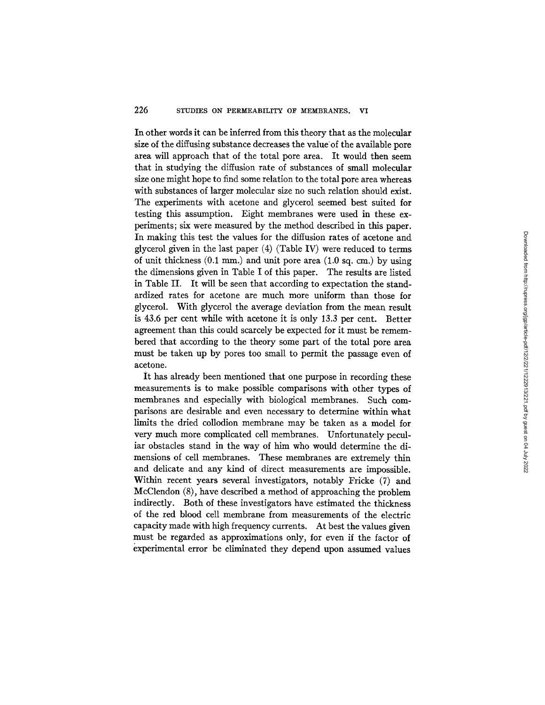# 226 STUDIES ON PERMEABILITY OF MEMBRANES. VI

In other words it can be inferred from this theory that as the molecular size of the diffusing substance decreases the value of the available pore area will approach that of the total pore area. It would then seem that in studying the diffusion rate of substances of small molecular size one might hope to find some relation to the total pore area whereas with substances of larger molecular size no such relation should exist. The experiments with acetone and glycerol seemed best suited for testing this assumption. Eight membranes were used in these experiments; six were measured by the method described in this paper. In making this test the values for the diffusion rates of acetone and glycerol given in the last paper (4) (Table IV) were reduced to terms of unit thickness (0.1 mm.) and unit pore area (1.0 sq. cm.) by using the dimensions given in Table I of this paper. The results are listed in Table II. It will be seen that according to expectation the standardized rates for acetone are much more uniform than those for glycerol. With glycerol the average deviation from the mean result is 43.6 per cent while with acetone it is only 13.3 per cent. Better agreement than this could scarcely be expected for it must be remembered that according to the theory some part of the total pore area must be taken up by pores too small to permit the passage even of acetone.

It has already been mentioned that one purpose in recording these measurements is to make possible comparisons with other types of membranes and especially with biological membranes. Such comparisons are desirable and even necessary to determine within what limits the dried collodion membrane may be taken as a model for very much more complicated cell membranes. Unfortunately peculiar obstacles stand in the way of him who would determine the dimensions of cell membranes. These membranes are extremely thin and delicate and any kind of direct measurements are impossible. Within recent years several investigators, notably Fricke (7) and McClendon (8), have described a method of approaching the problem indirectly. Both of these investigators have estimated the thickness of the red blood cell membrane from measurements of the electric capacity made with high frequency currents. At best the values given must be regarded as approximations only, for even if the factor of experimental error be eliminated they depend upon assumed values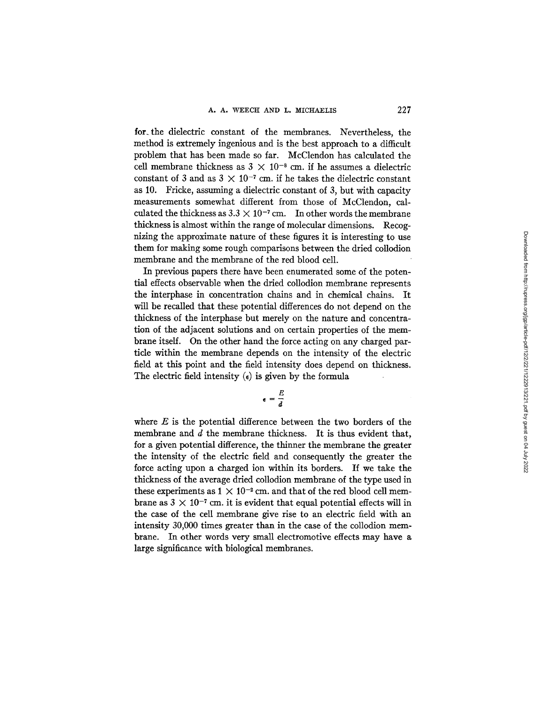for.the dielectric constant of the membranes. Nevertheless, the method is extremely ingenious and is the best approach to a difficult problem that has been made so far. McClendon has calculated the cell membrane thickness as  $3 \times 10^{-8}$  cm. if he assumes a dielectric constant of 3 and as  $3 \times 10^{-7}$  cm. if he takes the dielectric constant as 10. Fricke, assuming a dielectric constant of 3, but with capacity measurements somewhat different from those of McClendon, calculated the thickness as  $3.3 \times 10^{-7}$  cm. In other words the membrane thickness is almost within the range of molecular dimensions. Recognizing the approximate nature of these figures it is interesting to use them for making some rough comparisons between the dried collodion membrane and the membrane of the red blood cell.

In previous papers there have been enumerated some of the potential effects observable when the dried collodion membrane represents the interphase in concentration chains and in chemical chains. It will be recalled that these potential differences do not depend on the thickness of the interphase but merely on the nature and concentration of the adjacent solutions and on certain properties of the membrane itself. On the other hand the force acting on any charged particle within the membrane depends on the intensity of the electric field at this point and the field intensity does depend on thickness. The electric field intensity  $\epsilon$  is given by the formula

$$
e = \frac{E}{d}
$$

where  $E$  is the potential difference between the two borders of the membrane and  $d$  the membrane thickness. It is thus evident that, for a given potential difference, the thinner the membrane the greater the intensity of the electric field and consequently the greater the force acting upon a charged ion within its borders. If we take the thickness of the average dried collodion membrane of the type used in these experiments as  $1 \times 10^{-2}$  cm. and that of the red blood cell membrane as  $3 \times 10^{-7}$  cm. it is evident that equal potential effects will in the case of the cell membrane give rise to an electric field with an intensity 30,000 times greater than in the case of the collodion membrane. In other words very small electromotive effects may have a large significance with biological membranes.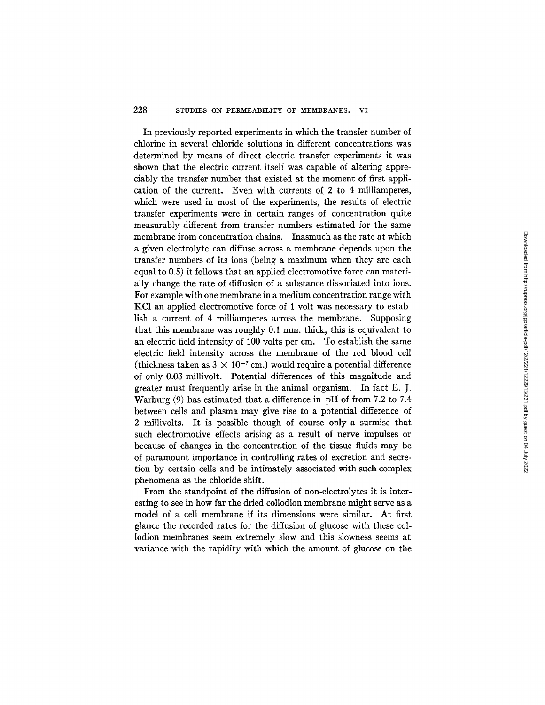# 228 STUDIES ON PERMEABILITY OF MEMBRANES. VI

In previously reported experiments in which the transfer number of chlorine in several chloride solutions in different concentrations was determined by means of direct electric transfer experiments it was shown that the electric current itself was capable of altering appreciably the transfer number that existed at the moment of first application of the current. Even with currents of 2 to 4 milliamperes, which were used in most of the experiments, the results of electric transfer experiments were in certain ranges of concentration quite measurably different from transfer numbers estimated for the same membrane from concentration chains. Inasmuch as the rate at which a given electrolyte can diffuse across a membrane depends upon the transfer numbers of its ions (being a maximum when they are each equal to 0.5) it follows that an applied electromotive force can materially change the rate of diffusion of a substance dissociated into ions. For example with one membrane in a medium concentration range with KC1 an applied electromotive force of 1 volt was necessary to establish a current of 4 milliamperes across the membrane. Supposing that this membrane was roughly 0.1 mm. thick, this is equivalent to an electric field intensity of 100 volts per cm. To establish the same electric field intensity across the membrane of the red blood cell (thickness taken as  $3 \times 10^{-7}$  cm.) would require a potential difference of only 0.03 millivolt. Potential differences of this magnitude and greater must frequently arise in the animal organism. In fact E. J. Warburg (9) has estimated that a difference in pH of from 7.2 to 7.4 between cells and plasma may give rise to a potential difference of 2 millivolts. It is possible though of course only a surmise that such electromotive effects arising as a result of nerve impulses or because of changes in the concentration of the tissue fluids may be of paramount importance in controlling rates of excretion and secretion by certain cells and be intimately associated with such complex phenomena as the chloride shift.

From the standpoint of the diffusion of non-electrolytes it is interesting to see in how far the dried collodion membrane might serve as a model of a cell membrane if its dimensions were similar. At first glance the recorded rates for the diffusion of glucose with these collodion membranes seem extremely slow and this slowness seems at variance with the rapidity with which the amount of glucose on the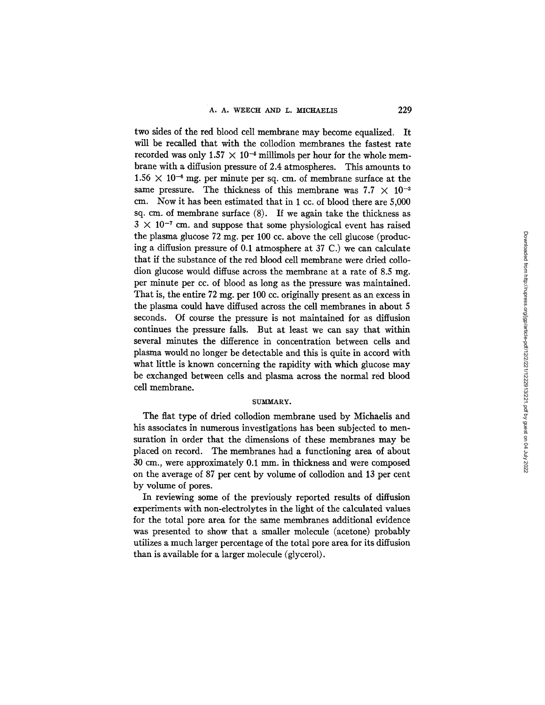two sides of the red blood cell membrane may become equalized. It will be recalled that with the collodion membranes the fastest rate recorded was only  $1.57 \times 10^{-5}$  millimols per hour for the whole membrane with a diffusion pressure of 2.4 atmospheres. This amounts to  $1.56 \times 10^{-6}$  mg. per minute per sq. cm. of membrane surface at the same pressure. The thickness of this membrane was  $7.7 \times 10^{-3}$ cm. Now it has been estimated that in 1 cc. of blood there are 5,000 sq. cm. of membrane surface (8). If we again take the thickness as  $3 \times 10^{-7}$  cm. and suppose that some physiological event has raised the plasma glucose 72 mg. per 100 cc. above the cell glucose (producing a diffusion pressure of 0.1 atmosphere at 37 C.) we can calculate that if the substance of the red blood cell membrane were dried collodion glucose would diffuse across the membrane at a rate of 8.5 mg. per minute per cc. of blood as long as the pressure was maintained. That is, the entire 72 mg. per 100 cc. originally present as an excess in the plasma could have diffused across the cell membranes in about 5 seconds. Of course the pressure is not maintained for as diffusion continues the pressure falls. But at least we can say that within several minutes the difference in concentration between cells and plasma would no longer be detectable and this is quite in accord with what little is known concerning the rapidity with which glucose may be exchanged between cells and plasma across the normal red blood cell membrane.

### SUMMARY.

The flat type of dried collodion membrane used by Michaelis and his associates in numerous investigations has been subjected to mensuration in order that the dimensions of these membranes may be placed on record. The membranes had a functioning area of about 30 cm., were approximately 0.1 mm. in thickness and were composed on the average of 87 per cent by volume of collodion and 13 per cent by volume of pores.

In reviewing some of the previously reported results of diffusion experiments with non-electrolytes in the light of the calculated values for the total pore area for the same membranes additional evidence was presented to show that a smaller molecule (acetone) probably utilizes a much larger percentage of the total pore area for its diffusion than is available for a larger molecule (glycerol).